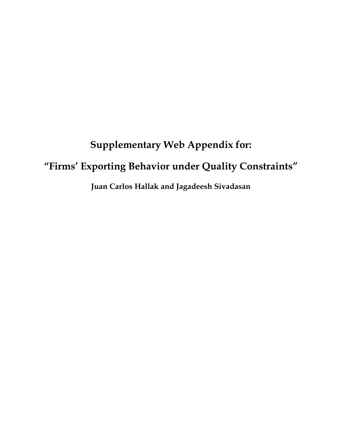# **Supplementary Web Appendix for:**

# **"Firms' Exporting Behavior under Quality Constraints"**

**Juan Carlos Hallak and Jagadeesh Sivadasan**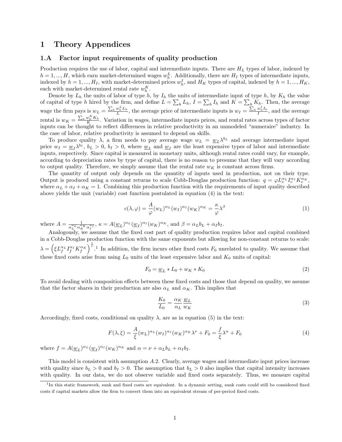### **1 Theory Appendices**

#### **1.A Factor input requirements of quality production**

Production requires the use of labor, capital and intermediate inputs. There are *H<sup>L</sup>* types of labor, indexed by  $h = 1, ..., H$ , which earn market-determined wages  $w_h^L$ . Additionally, there are  $H_I$  types of intermediate inputs, indexed by  $h = 1, ..., H_I$ , with market-determined prices  $w_h^I$ , and  $H_K$  types of capital, indexed by  $h = 1, ..., H_K$ , each with market-determined rental rate  $w_h^K$ .

Denote by  $L_h$  the units of labor of type  $h$ , by  $I_h$  the units of intermediate input of type  $h$ , by  $K_h$  the value of capital of type *h* hired by the firm, and define  $L = \sum_h L_h$ ,  $I = \sum_h I_h$  and  $K = \sum_h K_h$ . Then, the average wage the firm pays is  $w_L = \frac{\sum_h w_h^L L_h}{L}$ , the average price of intermediate inputs is  $w_I = \frac{\sum_h w_h^L L_h}{L}$ , and the average rental is  $w_K = \frac{\sum_h w_h^K K_h}{K}$ . Variation in wages, intermediate inputs prices, and rental rates across types of factor inputs can be thought to reflect differences in relative productivity in an unmodeled "numeraire" industry. In the case of labor, relative productivity is assumed to depend on skills.

To produce quality  $\lambda$ , a firm needs to pay average wage  $w_L = w_L \lambda^{b_L}$  and average intermediate input price  $w_I = \underline{w}_I \lambda^{b_I}$ ,  $b_L > 0$ ,  $b_I > 0$ , where  $\underline{w}_L$  and  $\underline{w}_I$  are the least expensive types of labor and intermediate inputs, respectively. Since capital is measured in monetary units, although rental rates could vary, for example, according to depreciation rates by type of capital, there is no reason to presume that they will vary according to output quality. Therefore, we simply assume that the rental rate  $w_K$  is constant across firms.

The quantity of output only depends on the quantity of inputs used in production, not on their type. Output is produced using a constant returns to scale Cobb-Douglas production function:  $q = \varphi L_v^{\alpha} L_v^{\alpha} K_v^{\alpha} K_v$ where  $\alpha_L + \alpha_I + \alpha_K = 1$ . Combining this production function with the requirements of input quality described above yields the unit (variable) cost function postulated in equation (4) in the text:

$$
c(\lambda, \varphi) = \frac{A}{\varphi} (w_L)^{\alpha_L} (w_I)^{\alpha_I} (w_K)^{\alpha_K} = \frac{\kappa}{\varphi} \lambda^{\beta}
$$
 (1)

where  $A = \frac{1}{\sqrt{\alpha L_{\alpha} \alpha}}$  $\frac{1}{\alpha_L^{\alpha_L} \alpha_K^{\alpha_K} \alpha_I^{\alpha_I}}$ ,  $\kappa = A(\underline{w}_L)^{\alpha_L} (\underline{w}_I)^{\alpha_I} (w_K)^{\alpha_K}$ , and  $\beta = \alpha_L b_L + \alpha_I b_I$ .

Analogously, we assume that the fixed cost part of quality production requires labor and capital combined in a Cobb-Douglas production function with the same exponents but allowing for non-constant returns to scale:  $\lambda = \left(\xi L_f^{\alpha_L} I_f^{\alpha_L} K_f^{\alpha_K}\right)^{\frac{1}{\nu}}$ .<sup>1</sup> In addition, the firm incurs other fixed costs  $F_0$  unrelated to quality. We assume that these fixed costs arise from using  $L_0$  units of the least expensive labor and  $K_0$  units of capital:

$$
F_0 = \underline{w}_L * L_0 + w_K * K_0 \tag{2}
$$

To avoid dealing with composition effects between these fixed costs and those that depend on quality, we assume that the factor shares in their production are also  $\alpha_L$  and  $\alpha_K$ . This implies that

$$
\frac{K_0}{L_0} = \frac{\alpha_K}{\alpha_L} \frac{w_L}{w_K} \tag{3}
$$

Accordingly, fixed costs, conditional on quality  $\lambda$ , are as in equation (5) in the text:

$$
F(\lambda,\xi) = \frac{A}{\xi}(w_L)^{\alpha_L}(w_I)^{\alpha_I}(w_K)^{\alpha_K}\lambda^{\nu} + F_0 = \frac{f}{\xi}\lambda^{\alpha} + F_0
$$
\n(4)

where  $f = A(\underline{w}_L)^{\alpha_L}(\underline{w}_I)^{\alpha_I}(w_K)^{\alpha_K}$  and  $\alpha = \nu + \alpha_L b_L + \alpha_I b_I$ .

This model is consistent with assumption *A.*2. Clearly, average wages and intermediate input prices increase with quality since  $b_L > 0$  and  $b_I > 0$ . The assumption that  $b_L > 0$  also implies that capital intensity increases with quality. In our data, we do not observe variable and fixed costs separately. Thus, we measure capital

<sup>&</sup>lt;sup>1</sup>In this static framework, sunk and fixed costs are equivalent. In a dynamic setting, sunk costs could still be considered fixed costs if capital markets allow the firm to convert them into an equivalent stream of per-period fixed costs.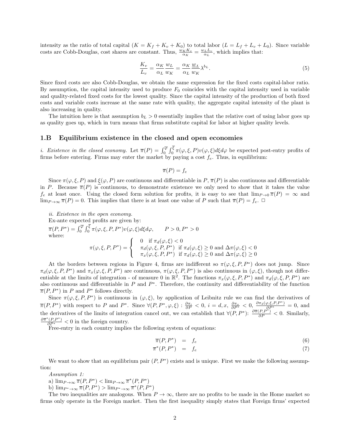intensity as the ratio of total capital  $(K = K_f + K_v + K_0)$  to total labor  $(L = L_f + L_v + L_0)$ . Since variable costs are Cobb-Douglas, cost shares are constant. Thus,  $\frac{w_K K_v}{\alpha_K} = \frac{w_L L_v}{\alpha_L}$ , which implies that:

$$
\frac{K_v}{L_v} = \frac{\alpha_K}{\alpha_L} \frac{w_L}{w_K} = \frac{\alpha_K}{\alpha_L} \frac{w_L}{w_K} \lambda^{b_L}.
$$
\n<sup>(5)</sup>

Since fixed costs are also Cobb-Douglas, we obtain the same expression for the fixed costs capital-labor ratio. By assumption, the capital intensity used to produce *F*<sup>0</sup> coincides with the capital intensity used in variable and quality-related fixed costs for the lowest quality. Since the capital intensity of the production of both fixed costs and variable costs increase at the same rate with quality, the aggregate capital intensity of the plant is also increasing in quality.

The intuition here is that assumption  $b<sub>L</sub> > 0$  essentially implies that the relative cost of using labor goes up as quality goes up, which in turn means that firms substitute capital for labor at higher quality levels.

#### **1.B Equilibrium existence in the closed and open economies**

*i. Existence in the closed economy.* Let  $\overline{\pi}(P) = \int_0^{\overline{\varphi}} \int_0^{\xi} \pi(\varphi, \xi, P) v(\varphi, \xi) d\xi d\varphi$  be expected post-entry profits of firms before entering. Firms may enter the market by paying a cost *fe*. Thus, in equilibrium:

$$
\overline{\pi}(P) = f_e
$$

Since  $\pi(\varphi, \xi, P)$  and  $\xi(\varphi, P)$  are continuous and differentiable in *P*,  $\pi(P)$  is also continuous and differentiable in *P*. Because  $\overline{\pi}(P)$  is continuous, to demonstrate existence we only need to show that it takes the value *f<sub>e</sub>* at least once. Using the closed form solution for profits, it is easy to see that  $\lim_{P\to 0} \overline{\pi}(P) = \infty$  and  $\lim_{P\to\infty} \overline{\pi}(P) = 0$ . This implies that there is at least one value of *P* such that  $\overline{\pi}(P) = f_e$ .  $\Box$ 

*ii. Existence in the open economy.* Ex-ante expected profits are given by:  $\overline{\pi}(P, P^*) = \int_0^{\overline{\varphi}} \int_0^{\xi} \pi(\varphi, \xi, P, P^*) v(\varphi, \xi) d\xi d\varphi, \qquad P > 0, P^* > 0$ where:  $\pi(\varphi,\xi,P,P^*) =$  $\sqrt{ }$  $\frac{1}{2}$  $\mathbf{I}$ 0 if  $\pi_d(\varphi, \xi) < 0$  $\pi_d(\varphi, \xi, P, P^*)$  if  $\pi_d(\varphi, \xi) \ge 0$  and  $\Delta \pi(\varphi, \xi) < 0$  $\pi_x(\varphi, \xi, P, P^*)$  if  $\pi_d(\varphi, \xi) \ge 0$  and  $\Delta \pi(\varphi, \xi) \ge 0$ 

At the borders between regions in Figure 4, firms are indifferent so  $\pi(\varphi,\xi,P,P^*)$  does not jump. Since  $\pi_d(\varphi, \xi, P, P^*)$  and  $\pi_x(\varphi, \xi, P, P^*)$  are continuous,  $\pi(\varphi, \xi, P, P^*)$  is also continuous in  $(\varphi, \xi)$ , though not differentiable at the limits of integration - of measure 0 in  $\mathbb{R}^2$ . The functions  $\pi_x(\varphi, \xi, P, P^*)$  and  $\pi_d(\varphi, \xi, P, P^*)$  are also continuous and differentiable in  $P$  and  $P^*$ . Therefore, the continuity and differentiability of the function  $\overline{\pi}(P, P^*)$  in *P* and  $P^*$  follows directly.

Since  $\pi(\varphi,\xi,P,P^*)$  is continuous in  $(\varphi,\xi)$ , by application of Leibnitz rule we can find the derivatives of  $\overline{\pi}(P, P^*)$  with respect to P and P<sup>\*</sup>. Since  $\forall (P, P^*, \varphi, \xi) : \frac{\partial \pi_i}{\partial P} < 0, i = d, x, \frac{\partial \pi_x}{\partial P^*} < 0, \frac{\partial \pi_d(\varphi, \xi, P, P^*)}{\partial P^*} = 0$ , and the derivatives of the limits of integration cancel out, we can establish that  $\forall (P, P^*)$ :  $\frac{\partial \overline{\pi}(P, P^*)}{\partial P} < 0$ . Similarly,  $\frac{\partial \overline{\pi}^*(P,P^*)}{\partial P^*}$  < 0 in the foreign country.

Free-entry in each country implies the following system of equations:

$$
\overline{\pi}(P, P^*) = f_e \tag{6}
$$

$$
\overline{\pi}^*(P, P^*) = f_e \tag{7}
$$

We want to show that an equilibrium pair  $(P, P^*)$  exists and is unique. First we make the following assumption:

*Assumption 1:*

a)  $\lim_{P\to\infty} \overline{\pi}(P, P^*) < \lim_{P\to\infty} \overline{\pi}^*(P, P^*)$ 

b)  $\lim_{P^* \to \infty} \overline{\pi}(P, P^*) > \lim_{P^* \to \infty} \overline{\pi}^*(P, P^*)$ 

The two inequalities are analogous. When  $P \to \infty$ , there are no profits to be made in the Home market so firms only operate in the Foreign market. Then the first inequality simply states that Foreign firms' expected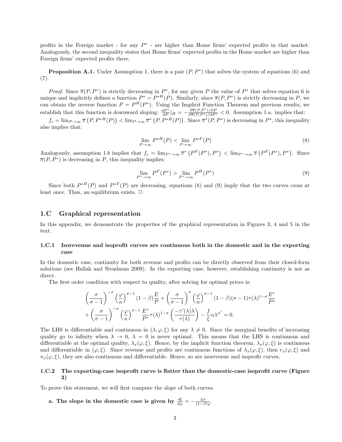profits in the Foreign market - for any  $P^*$  - are higher than Home firms' expected profits in that market. Analogously, the second inequality states that Home firms' expected profits in the Home market are higher than Foreign firms' expected profits there.

**Proposition A.1.** Under Assumption 1, there is a pair  $(P, P^*)$  that solves the system of equations (6) and (7).

*Proof.* Since  $\overline{\pi}(P, P^*)$  is strictly decreasing in  $P^*$ , for any given P the value of  $P^*$  that solves equation 6 is unique and implicitly defines a function  $P^* = P^{*H}(P)$ . Similarly, since  $\overline{\pi}(P, P^*)$  is strictly decreasing in P, we can obtain the inverse function  $P = P^H(P^*)$ . Using the Implicit Function Theorem and previous results, we establish that this function is downward sloping:  $\frac{dP^*}{dP}|_H = -\frac{\partial \overline{\pi}(P,P^*)}{\partial \overline{\pi}(P,P^*)/\partial P^*} < 0$ . Assumption 1.a. implies that:

 $f_e = \lim_{P \to \infty} \overline{\pi}(P, P^*{}^H(P)) < \lim_{P \to \infty} \overline{\pi}^*(P, P^*{}^H(P)).$  Since  $\overline{\pi}^*(P, P^*)$  is decreasing in  $P^*$ , this inequality also implies that:

$$
\lim_{P \to \infty} P^{*H}(P) < \lim_{P \to \infty} P^{*F}(P) \tag{8}
$$

Analogously, assumption 1.b implies that  $f_e = \lim_{P^* \to \infty} \overline{\pi}^* (P^F(P^*), P^*) < \lim_{P^* \to \infty} \overline{\pi} (P^F(P^*), P^*)$ . Since  $\overline{\pi}(P, P^*)$  is decreasing in *P*, this inequality implies:

$$
\lim_{P^* \to \infty} P^F(P^*) > \lim_{P^* \to \infty} P^H(P^*)
$$
\n(9)

Since both  $P^{*H}(P)$  and  $P^{*F}(P)$  are decreasing, equations (8) and (9) imply that the two curves cross at least once. Thus, an equilibrium exists.  $\Box$ 

#### **1.C Graphical representation**

In this appendix, we demonstrate the properties of the graphical representation in Figures 3, 4 and 5 in the text.

#### **1.C.1 Isorevenue and isoprofit curves are continuous both in the domestic and in the exporting case**

In the domestic case, continuity for both revenue and profits can be directly observed from their closed-form solutions (see Hallak and Sivadasan 2009). In the exporting case, however, establishing continuity is not as direct.

The first order condition with respect to quality, after solving for optimal prices is:

$$
\left(\frac{\sigma}{\sigma-1}\right)^{-\sigma} \left(\frac{\varphi}{\kappa}\right)^{\sigma-1} (1-\beta) \frac{E}{P} + \left(\frac{\sigma}{\sigma-1}\right)^{\sigma} \left(\frac{\varphi}{\kappa}\right)^{\sigma-1} (1-\beta)(\sigma-1)\tau(\lambda)^{1-\sigma} \frac{E^*}{P^*} + \left(\frac{\sigma}{\sigma-1}\right)^{-\sigma} \left(\frac{\varphi}{\kappa}\right)^{\sigma-1} \frac{E^*}{P^*} \tau(\lambda)^{1-\sigma} \left(\frac{-\tau'(\lambda)\lambda}{\tau(\lambda)}\right) - \frac{f}{\xi} \alpha \lambda^{\alpha'} = 0.
$$

The LHS is differentiable and continuous in  $(\lambda, \varphi, \xi)$  for any  $\lambda \neq 0$ . Since the marginal benefits of increasing quality go to infinity when  $\lambda \to 0$ ,  $\lambda = 0$  is never optimal. This means that the LHS is continuous and differentiable at the optimal quality,  $\lambda_x(\varphi, \xi)$ . Hence, by the implicit function theorem,  $\lambda_x(\varphi, \xi)$  is continuous and differentiable in  $(\varphi, \xi)$ . Since revenue and profits are continuous functions of  $\lambda_x(\varphi, \xi)$ , then  $r_x(\varphi, \xi)$  and  $\pi_x(\varphi, \xi)$ , they are also continuous and differentiable. Hence, so are isorevenue and isoprofit curves.

#### **1.C.2 The exporting-case isoprofit curve is flatter than the domestic-case isoprofit curve (Figure 3)**

To prove this statement, we will first compute the slope of both curves.

a. The slope in the domestic case is given by 
$$
\frac{d\xi}{d\varphi} = -\frac{\xi\alpha}{(1-\beta)\varphi}
$$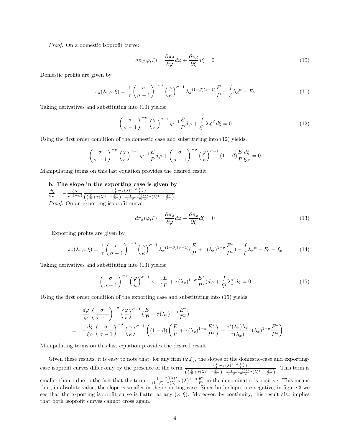*Proof.* On a domestic isoprofit curve:

$$
d\pi_d(\varphi,\xi) = \frac{\partial \pi_d}{\partial \varphi} d\varphi + \frac{\partial \pi_d}{\partial \xi} d\xi = 0
$$
\n(10)

Domestic profits are given by

$$
\pi_d(\lambda; \varphi, \xi) = \frac{1}{\sigma} \left( \frac{\sigma}{\sigma - 1} \right)^{1 - \sigma} \left( \frac{\varphi}{\kappa} \right)^{\sigma - 1} \lambda_d^{(1 - \beta)(\sigma - 1)} \frac{E}{P} - \frac{f}{\xi} \lambda_d^{\alpha} - F_0 \tag{11}
$$

Taking derivatives and substituting into (10) yields:

$$
\left(\frac{\sigma}{\sigma - 1}\right)^{-\sigma} \left(\frac{\varphi}{\kappa}\right)^{\sigma - 1} \varphi^{-1} \frac{E}{P} d\varphi + \frac{f}{\xi^2} \lambda_d^{\alpha'} d\xi = 0 \tag{12}
$$

Using the first order condition of the domestic case and substituting into (12) yields:

$$
\left(\frac{\sigma}{\sigma-1}\right)^{-\sigma} \left(\frac{\varphi}{\kappa}\right)^{\sigma-1} \varphi^{-1} \frac{E}{P} d\varphi + \left(\frac{\sigma}{\sigma-1}\right)^{-\sigma} \left(\frac{\varphi}{\kappa}\right)^{\sigma-1} (1-\beta) \frac{E}{P} \frac{d\xi}{\xi\alpha} = 0
$$

Manipulating terms on this last equation provides the desired result.

**b. The slope in the exporting case is given by**

$$
\frac{d\xi}{d\varphi} = -\frac{\xi\alpha}{\varphi(1-\beta)} \frac{(\frac{E}{P} + \tau(\lambda)^{1-\sigma}\frac{E^*}{P^*})}{\left(\left(\frac{E}{P} + \tau(\lambda)^{1-\sigma}\frac{E^*}{P^*}\right) - \frac{1}{(1-\beta)}\frac{\tau'(\lambda)\lambda}{\tau(\lambda)}\tau(\lambda)^{1-\sigma}\frac{E^*}{P^*}\right)}
$$
  
*Proof.* On an exporting isoprofit curve:

$$
d\pi_x(\varphi,\xi) = \frac{\partial \pi_x}{\partial \varphi} d\varphi + \frac{\partial \pi_x}{\partial \xi} d\xi = 0
$$
\n(13)

Exporting profits are given by

$$
\pi_x(\lambda; \varphi, \xi) = \frac{1}{\sigma} \left( \frac{\sigma}{\sigma - 1} \right)^{1 - \sigma} \left( \frac{\varphi}{\kappa} \right)^{\sigma - 1} \lambda_x^{(1 - \beta)(\sigma - 1)} \left( \frac{E}{P} + \tau(\lambda_x)^{1 - \sigma} \frac{E^*}{P^*} \right) - \frac{f}{\xi} \lambda_x^{\alpha} - F_0 - f_x \tag{14}
$$

Taking derivatives and substituting into (13) yields:

$$
\left(\frac{\sigma}{\sigma-1}\right)^{-\sigma} \left(\frac{\varphi}{\kappa}\right)^{\sigma-1} \varphi^{-1} \left(\frac{E}{P} + \tau(\lambda_x)^{1-\sigma} \frac{E^*}{P^*}\right) d\varphi + \frac{f}{\xi^2} \lambda_x^{\alpha'} d\xi = 0 \tag{15}
$$

Using the first order condition of the exporting case and substituting into (15) yields:

$$
\frac{d\varphi}{\varphi} \left(\frac{\sigma}{\sigma - 1}\right)^{-\sigma} \left(\frac{\varphi}{\kappa}\right)^{\sigma - 1} \left(\frac{E}{P} + \tau(\lambda_x)^{1 - \sigma} \frac{E^*}{P^*}\right)
$$
\n
$$
= -\frac{d\xi}{\xi\alpha} \left(\frac{\sigma}{\sigma - 1}\right)^{-\sigma} \left(\frac{\varphi}{\kappa}\right)^{\sigma - 1} \left((1 - \beta) \left(\frac{E}{P} + \tau(\lambda_x)^{1 - \sigma} \frac{E^*}{P^*}\right) - \frac{\tau'(\lambda_x)\lambda_x}{\tau(\lambda_x)}\tau(\lambda_x)^{1 - \sigma} \frac{E^*}{P^*}\right)
$$

Manipulating terms on this last equation provides the desired result.

Given these results, it is easy to note that, for any firm  $(\varphi,\xi)$ , the slopes of the domestic-case and exportingcase isoprofit curves differ only by the presence of the term  $\frac{(\frac{E}{P}+\tau(\lambda)^{1-\sigma}\frac{E^*}{P^*})}{((\frac{E}{P}+\tau(\lambda)^{1-\sigma}\frac{F^*}{P^*})-\frac{1}{(1-\beta)}\frac{\tau'(\lambda)\lambda}{\tau(\lambda)}\tau(\lambda)^{1-\sigma}\frac{E^*}{P^*})}$ . This term is smaller than 1 due to the fact that the term  $-\frac{1}{(1-\beta)}$ *τ ′* (*λ*)*λ*  $\frac{r'(\lambda)}{\tau(\lambda)}$   $\tau(\lambda)^{1-\sigma} \frac{E^*}{P^*}$  in the denominator is positive. This means that, in absolute value, the slope is smaller in the exporting case. Since both slopes are negative, in figure 3 we see that the exporting isoprofit curve is flatter at any  $(\varphi, \xi)$ . Moreover, by continuity, this result also implies that both isoprofit curves cannot cross again.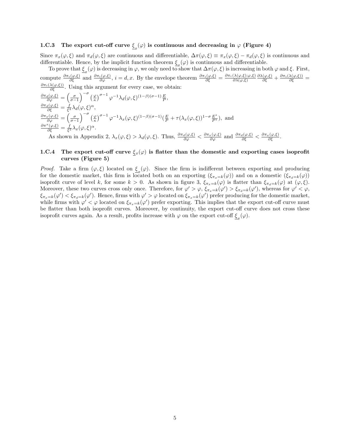# **1.C.3** The export cut-off curve  $\xi_x(\varphi)$  is continuous and decreasing in  $\varphi$  (Figure 4)

Since  $\pi_x(\varphi, \xi)$  and  $\pi_d(\varphi, \xi)$  are continuous and differentiable,  $\Delta \pi(\varphi, \xi) \equiv \pi_x(\varphi, \xi) - \pi_d(\varphi, \xi)$  is continuous and differentiable. Hence, by the implicit function theorem  $\xi(\varphi)$  is continuous and differentiable.

*x* To prove that  $\xi_x(\varphi)$  is decreasing in  $\varphi$ , we only need to show that  $\Delta$ *π*( $\varphi$ ,  $\xi$ ) is increasing in both  $\varphi$  and  $\xi$ . First, compute  $\frac{\partial \pi_i(\varphi,\xi)}{\partial \xi}$  and  $\frac{\partial \pi_i(\varphi,\xi)}{\partial \varphi}$ ,  $i = d, x$ . By the envelope theorem  $\frac{\partial \pi_i(\varphi,\xi)}{\partial \xi} = \frac{\partial \pi_i(\lambda(\varphi,\xi); \varphi,\xi)}{\partial \lambda(\varphi,\xi)}$ *∂λ*(*φ,ξ*)  $\frac{\partial \lambda(\varphi,\xi)}{\partial \xi} + \frac{\partial \pi_i(\lambda(\varphi,\xi))}{\partial \xi} =$  $\frac{\partial \pi_i(\lambda(\varphi,\xi))}{\partial \xi}$ . Using this argument for every case, we obtain:  $\lambda$   $-\sigma$ 

$$
\frac{\partial \pi_d(\varphi,\xi)}{\partial \varphi} = \left(\frac{\sigma}{\sigma-1}\right)^{-\sigma} \left(\frac{\varphi}{\kappa}\right)^{\sigma-1} \varphi^{-1} \lambda_d(\varphi,\xi)^{(1-\beta)(\sigma-1)} \frac{E}{P},
$$
\n
$$
\frac{\partial \pi_d(\varphi,\xi)}{\partial \xi} = \frac{f}{\xi^2} \lambda_d(\varphi,\xi)^{\alpha},
$$
\n
$$
\frac{\partial \pi_x(\varphi,\xi)}{\partial \varphi} = \left(\frac{\sigma}{\sigma-1}\right)^{-\sigma} \left(\frac{\varphi}{\kappa}\right)^{\sigma-1} \varphi^{-1} \lambda_x(\varphi,\xi)^{(1-\beta)(\sigma-1)} \left(\frac{E}{P} + \tau(\lambda_x(\varphi,\xi))^{1-\sigma} \frac{E^*}{P^*}\right),
$$
 and\n
$$
\frac{\partial \pi^x(\varphi,\xi)}{\partial \xi} = \frac{f}{\xi^2} \lambda_x(\varphi,\xi)^{\alpha}.
$$

As shown in Appendix 2,  $\lambda_x(\varphi,\xi) > \lambda_d(\varphi,\xi)$ . Thus,  $\frac{\partial \pi_d(\varphi,\xi)}{\partial \varphi} < \frac{\partial \pi_x(\varphi,\xi)}{\partial \varphi}$  and  $\frac{\partial \pi_d(\varphi,\xi)}{\partial \xi} < \frac{\partial \pi_x(\varphi,\xi)}{\partial \xi}$ .

#### **1.C.4** The export cut-off curve  $\xi_x(\varphi)$  is flatter than the domestic and exporting cases isoprofit **curves (Figure 5)**

*Proof.* Take a firm  $(\varphi, \xi)$  located on  $\xi_x(\varphi)$ . Since the firm is indifferent between exporting and producing for the domestic market, this firm is located both on an exporting  $(\xi_{\pi_x=k}(\varphi))$  and on a domestic  $(\xi_{\pi_d=k}(\varphi))$ isoprofit curve of level *k*, for some  $k > 0$ . As shown in figure 3,  $\xi_{\pi_x=k}(\varphi)$  is flatter than  $\xi_{\pi_d=k}(\varphi)$  at  $(\varphi,\xi)$ . Moreover, these two curves cross only once. Therefore, for  $\varphi' > \varphi$ ,  $\xi_{\pi_x=k}(\varphi') > \xi_{\pi_d=k}(\varphi')$ , whereas for  $\varphi' < \varphi$ ,  $\xi_{\pi_x=k}(\varphi')<\xi_{\pi_d=k}(\varphi')$ . Hence, firms with  $\varphi'>\varphi$  located on  $\xi_{\pi_x=k}(\varphi')$  prefer producing for the domestic market, while firms with  $\varphi' < \varphi$  located on  $\xi_{\pi_x=k}(\varphi')$  prefer exporting. This implies that the export cut-off curve must be flatter than both isoprofit curves. Moreover, by continuity, the export cut-off curve does not cross these isoprofit curves again. As a result, profits increase with  $\varphi$  on the export cut-off  $\xi_x(\varphi)$ .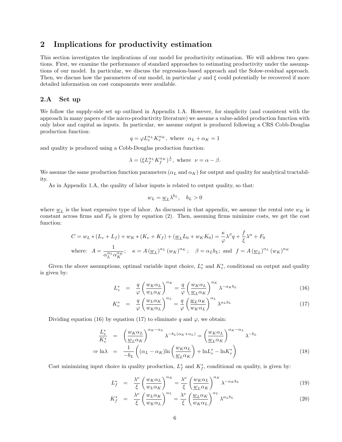# **2 Implications for productivity estimation**

This section investigates the implications of our model for productivity estimation. We will address two questions. First, we examine the performance of standard approaches to estimating productivity under the assumptions of our model. In particular, we discuss the regression-based approach and the Solow-residual approach. Then, we discuss how the parameters of our model, in particular  $\varphi$  and  $\xi$  could potentially be recovered if more detailed information on cost components were available.

#### **2.A Set up**

We follow the supply-side set up outlined in Appendix 1.A. However, for simplicity (and consistent with the approach in many papers of the micro-productivity literature) we assume a value-added production function with only labor and capital as inputs. In particular, we assume output is produced following a CRS Cobb-Douglas production function:

$$
q=\varphi L_v^{\alpha_L}K_v^{\alpha_K},\text{ where }\ \alpha_L+\alpha_K=1
$$

and quality is produced using a Cobb-Douglas production function:

$$
\lambda = (\xi L_f^{\alpha_L} K_f^{\alpha_K})^{\frac{1}{\nu}}, \text{ where } \nu = \alpha - \beta.
$$

We assume the same production function parameters  $(\alpha_L \text{ and } \alpha_K)$  for output and quality for analytical tractability.

As in Appendix 1.A, the quality of labor inputs is related to output quality, so that:

$$
w_L = \underline{w}_L \lambda^{b_L}, \quad b_L > 0
$$

where  $\underline{w}_L$  is the least expensive type of labor. As discussed in that appendix, we assume the rental rate  $w_K$  is constant across firms and  $F_0$  is given by equation (2). Then, assuming firms minimize costs, we get the cost function:

$$
C = w_L * (L_v + L_f) + w_K * (K_v + K_f) + (\underline{w}_L L_0 + w_K K_0) = \frac{\kappa}{\varphi} \lambda^{\beta} q + \frac{f}{\xi} \lambda^{\alpha} + F_0
$$
  
where: 
$$
A = \frac{1}{\alpha_L^{\alpha_L} \alpha_K^{\alpha_K}}; \quad \kappa = A (\underline{w}_L)^{\alpha_L} (w_K)^{\alpha_K}; \quad \beta = \alpha_L b_L; \text{ and } f = A (\underline{w}_L)^{\alpha_L} (w_K)^{\alpha_K}
$$

Given the above assumptions, optimal variable input choice,  $L_v^*$  and  $K_v^*$ , conditional on output and quality is given by:

$$
L_v^* = \frac{q}{\varphi} \left( \frac{w_K \alpha_L}{w_L \alpha_K} \right)^{\alpha_K} = \frac{q}{\varphi} \left( \frac{w_K \alpha_L}{\underline{w}_L \alpha_K} \right)^{\alpha_K} \lambda^{-\alpha_K b_L}
$$
(16)

$$
K_v^* = \frac{q}{\varphi} \left( \frac{w_L \alpha_K}{w_K \alpha_L} \right)^{\alpha_L} = \frac{q}{\varphi} \left( \frac{w_L \alpha_K}{w_K \alpha_L} \right)^{\alpha_L} \lambda^{\alpha_L b_L}
$$
(17)

Dividing equation (16) by equation (17) to eliminate *q* and  $\varphi$ , we obtain:

$$
\frac{L_v^*}{K_v^*} = \left(\frac{w_K \alpha_L}{\underline{w}_L \alpha_K}\right)^{\alpha_K - \alpha_L} \lambda^{-b_L(\alpha_K + \alpha_L)} = \left(\frac{w_K \alpha_L}{\underline{w}_L \alpha_K}\right)^{\alpha_K - \alpha_L} \lambda^{-b_L}
$$
\n
$$
\Rightarrow \ln \lambda = \frac{1}{-b_L} \left( (\alpha_L - \alpha_K) \ln \left(\frac{w_K \alpha_L}{\underline{w}_L \alpha_K}\right) + \ln L_v^* - \ln K_v^* \right) \tag{18}
$$

Cost minimizing input choice in quality production,  $L_f^*$  and  $K_f^*$ , conditional on quality, is given by:

$$
L_f^* = \frac{\lambda^{\nu}}{\xi} \left( \frac{w_K \alpha_L}{w_L \alpha_K} \right)^{\alpha_K} = \frac{\lambda^{\nu}}{\xi} \left( \frac{w_K \alpha_L}{\underline{w}_L \alpha_K} \right)^{\alpha_K} \lambda^{-\alpha_K b_L}
$$
(19)

$$
K_f^* = \frac{\lambda^{\nu}}{\xi} \left( \frac{w_L \alpha_K}{w_K \alpha_L} \right)^{\alpha_L} = \frac{\lambda^{\nu}}{\xi} \left( \frac{w_L \alpha_K}{w_K \alpha_L} \right)^{\alpha_L} \lambda^{\alpha_L b_L}
$$
(20)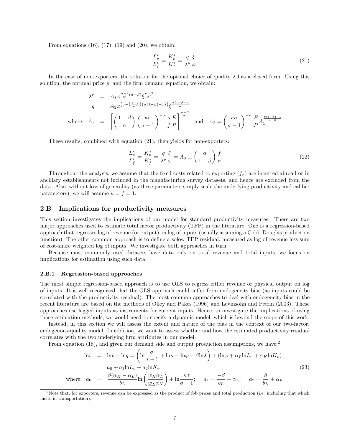From equations  $(16)$ ,  $(17)$ ,  $(19)$  and  $(20)$ , we obtain:

$$
\frac{L_v^*}{L_f^*} = \frac{K_v^*}{K_f^*} = \frac{q}{\lambda^{\nu}} \frac{\xi}{\varphi}.
$$
\n
$$
(21)
$$

In the case of non-exporters, the solution for the optimal choice of quality  $\lambda$  has a closed form. Using this solution, the optimal price  $p$ , and the firm demand equation, we obtain:

$$
\lambda^{\nu} = A_1 \varphi^{\frac{\sigma - 1}{\alpha'}(\alpha - \beta)} \xi^{\frac{\alpha - \beta}{\alpha'}}
$$
\n
$$
q = A_2 \varphi^{\left(\sigma + \left(\frac{\sigma - 1}{\alpha'}\right) \{\sigma(1 - \beta) - 1\}\right)} \xi^{\frac{\sigma(1 - \beta) - 1}{\alpha'}}
$$
\nwhere:  $A_1 = \left[ \left( \frac{1 - \beta}{\alpha} \right) \left( \frac{\kappa \sigma}{\sigma - 1} \right)^{-\sigma} \frac{\kappa}{f} \frac{E}{P} \right]^{\frac{\alpha - \beta}{\alpha'}}$  and  $A_2 = \left( \frac{\kappa \sigma}{\sigma - 1} \right)^{-\sigma} \frac{E}{P} A_1^{\frac{\sigma(1 - \beta) - 1}{\alpha - \beta}}$ 

These results, combined with equation (21), then yields for non-exporters:

$$
\frac{L_v^*}{L_f^*} = \frac{K_v^*}{K_f^*} = \frac{q}{\lambda^\nu} \frac{\xi}{\varphi} = A_3 \equiv \left(\frac{\alpha}{1-\beta}\right) \frac{f}{\kappa}
$$
\n(22)

Throughout the analysis, we assume that the fixed costs related to exporting (*fx*) are incurred abroad or in ancillary establishments not included in the manufacturing survey datasets, and hence are excluded from the data. Also, without loss of generality (as these parameters simply scale the underlying productivity and caliber parameters), we will assume  $\kappa = f = 1$ .

#### **2.B Implications for productivity measures**

This section investigates the implications of our model for standard productivity measures. There are two major approaches used to estimate total factor productivity (TFP) in the literature. One is a regression-based approach that regresses log of revenue (or output) on log of inputs (usually assuming a Cobb-Douglas production function). The other common approach is to define a solow TFP residual, measured as log of revenue less sum of cost-share weighted log of inputs. We investigate both approaches in turn.

Because most commonly used datasets have data only on total revenue and total inputs, we focus on implications for estimation using such data.

#### **2.B.1 Regression-based approaches**

The most simple regression-based approach is to use OLS to regress either revenue or physical output on log of inputs. It is well recognized that the OLS approach could suffer from endogeneity bias (as inputs could be correlated with the productivity residual). The most common approaches to deal with endogeneity bias in the recent literature are based on the methods of Olley and Pakes (1996) and Levinsohn and Petrin (2003). These approaches use lagged inputs as instruments for current inputs. Hence, to investigate the implications of using those estimation methods, we would need to specify a dynamic model, which is beyond the scope of this work.

Instead, in this section we will assess the extent and nature of the bias in the context of our two-factor, endogenous-quality model. In addition, we want to assess whether and how the estimated productivity residual correlates with the two underlying firm attributes in our model.

From equation (18), and given our demand side and output production assumptions, we have:<sup>2</sup>

$$
\ln r = \ln p + \ln q = \left(\ln \frac{\sigma}{\sigma - 1} + \ln \kappa - \ln \varphi + \beta \ln \lambda\right) + (\ln \varphi + \alpha_L \ln L_v + \alpha_K \ln K_v)
$$
  
\n
$$
= a_0 + a_1 \ln L_v + a_2 \ln K_v
$$
  
\nwhere:  $a_0 = \frac{\beta(\alpha_K - \alpha_L)}{b_L} \ln \left(\frac{w_K \alpha_L}{\underline{w}_L \alpha_K}\right) + \ln \frac{\kappa \sigma}{\sigma - 1}; \quad a_1 = \frac{-\beta}{b_L} + \alpha_L; \quad a_2 = \frac{\beta}{b_L} + \alpha_K$  (23)

<sup>&</sup>lt;sup>2</sup>Note that, for exporters, revenue can be expressed as the product of fob prices and total production (i.e. including that which melts in transportation).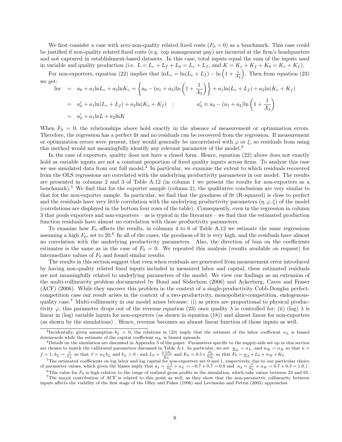We first consider a case with zero non-quality related fixed costs  $(F_0 = 0)$  as a benchmark. This case could be justified if non-quality related fixed costs (e.g. top management pay) are incurred at the firm's headquarters and not captured in establishment-based datasets. In this case, total inputs equal the sum of the inputs used in variable and quality production (i.e.  $L = L_v + L_f + L_0 = L_v + L_f$ , and  $K = K_v + K_f + K_0 = K_v + K_f$ ),

For non-exporters, equation (22) implies that  $\ln L_v = \ln(L_v + L_f) - \ln\left(1 + \frac{1}{A_3}\right)$ ) . Then from equation (23) we get:

$$
\ln r = a_0 + a_1 \ln L_v + a_2 \ln K_v = \left\{ a_0 - (a_1 + a_2) \ln \left( 1 + \frac{1}{A_3} \right) \right\} + a_1 \ln (L_v + L_f) + a_2 \ln (K_v + K_f)
$$
  
\n
$$
= a'_0 + a_1 \ln (L_v + L_f) + a_2 \ln (K_v + K_f) ; \qquad a'_0 = a_0 - (a_1 + a_2) \ln \left( 1 + \frac{1}{A_3} \right)
$$
  
\n
$$
= a'_0 + a_1 \ln L + a_2 \ln K
$$

When  $F_0 = 0$ , the relationships above hold exactly in the absence of measurement or optimization errors. Therefore, the regression has a perfect fit and no residuals can be recovered from the regression. If measurement or optimization errors were present, they would generally be uncorrelated with  $\varphi$  or  $\xi$ , so residuals from using this method would not meaningfully identify any relevant parameter of the model.<sup>3</sup>

In the case of exporters, quality does not have a closed form. Hence, equation (22) above does not exactly hold as variable inputs are not a constant proportion of fixed quality inputs across firms. To analyze this case we use simulated data from our full model.<sup>4</sup> In particular, we examine the extent to which residuals recovered from the OLS regressions are correlated with the underlying productivity parameters in our model. The results are presented in columns 2 and 3 of Table A.12 (in column 1 we present the results for non-exporters as a benchmark).<sup>5</sup> We find that for the exporter sample (column 2), the qualitative conclusions are very similar to that for the non-exporter sample. In particular, we find that the goodness of fit (R-squared) is close to perfect and the residuals have very little correlation with the underlying productivity parameters  $(\eta, \varphi, \xi)$  of the model (correlations are displayed in the bottom four rows of the table). Consequently, even in the regression in column 3 that pools exporters and non-exporters – as is typical in the literature – we find that the estimated production function residuals have almost no correlation with those productivity parameters.

To examine how *F*<sup>0</sup> affects the results, in columns 4 to 6 of Table A.12 we estimate the same regressions assuming a high  $F_0$ , set to 20.<sup>6</sup> In all of the cases, the goodness of fit is very high, and the residuals have almost no correlation with the underlying productivity parameters. Also, the direction of bias on the coefficients estimates is the same as in the case of  $F_0 = 0$ . We repeated this analysis (results available on request) for intermediate values of  $F_0$  and found similar results.

The results in this section suggest that even when residuals are generated from measurement error introduced by having non-quality related fixed inputs included in measured labor and capital, these estimated residuals are not meaningfully related to underlying parameters of the model. We view our findings as an extension of the multi-collinearity problem documented by Bond and Söderbom (2006) and Ackerberg, Caves and Fraser (ACF) (2006). While they uncover this problem in the context of a single-productivity Cobb-Douglas perfectcompetition case our result arises in the context of a two-productivity, monopolistic-competition, endogenousquality case.<sup>7</sup> Multi-collinearity in our model arises because: (i) as prices are proportional to physical productivity  $\varphi$ , this parameter drops out of the revenue equation (23) once quality  $\lambda$  is controlled for; (ii) (log)  $\lambda$  is linear in (log) variable inputs for non-exporters (as shown in equation (18)) and almost linear for non-exporters (as shown by the simulations) . Hence, revenue becomes an almost linear function of those inputs as well.

<sup>&</sup>lt;sup>3</sup>Incidentally, given assumption  $b_L > 0$ , the relations in (23) imply that the estimate of the labor coefficient  $\alpha_L$  is biased downwards while the estimate of the capital coefficient  $\alpha_K$  is biased upwards.

<sup>4</sup>Details on the simulation are discussed in Appendix 3 of the paper. Parameters specific to the supply-side set up in this section are chosen to match the calibrated parameters discussed in Table A.1. In particular, we set:  $w_L = \alpha_L$ , and  $w_K = \alpha_K$  so that  $\kappa =$  $f = 1$ ;  $b_L = \frac{\beta}{\alpha_L}$  so that  $\beta = \alpha_L b_L$  and  $b_L > 0$ ; and  $L_0 = \frac{0.5 F_0}{\underline{w}_L}$  and  $K_0 = 0.5 * \frac{F_0}{w_K}$  so that  $F_0 = \underline{w}_L * L_0 + w_K * K_0$ .

 $5$ The estimated coefficients on log labor and log capital for non-exporters are 0 and 1, respectively, due to our particular choice of parameter values, which given the biases imply that  $a_1 = \frac{-\beta}{b_L} + \alpha_L = -0.7 + 0.7 = 0.0$  and  $a_2 = \frac{\beta}{b_L} + \alpha_K = 0.7 + 0.3 = 1.0$ .

 $6$ This value for  $F_0$  is high relative to the range of realized gross profits in the simulation, which take values between 23 and 65. <sup>7</sup>The major contribution of ACF is related to this point as well, as they show that the non-parametric collinearity between inputs affects the viability of the first stage of the Olley and Pakes (1996) and Levinsohn and Petrin (2003) approaches.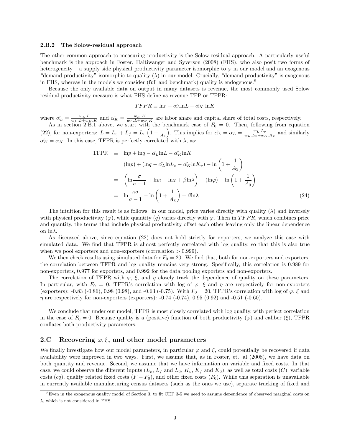#### **2.B.2 The Solow-residual approach**

The other common approach to measuring productivity is the Solow residual approach. A particularly useful benchmark is the approach in Foster, Haltiwanger and Syverson (2008) (FHS), who also posit two forms of heterogeneity – a supply side physical productivity parameter isomorphic to *φ* in our model and an exogenous "demand productivity" isomorphic to quality (*λ*) in our model. Crucially, "demand productivity" is exogenous in FHS, whereas in the models we consider (full and benchmark) quality is endogenous.<sup>8</sup>

Because the only available data on output in many datasets is revenue, the most commonly used Solow residual productivity measure is what FHS define as revenue TFP or TFPR:

$$
TFPR \equiv \ln r - \hat{\alpha_L} \ln L - \hat{\alpha_K} \ln K
$$

where  $\hat{\alpha_L} = \frac{w_L L}{w_L L + w_K K}$  and  $\hat{\alpha_K} = \frac{w_K K}{w_L L + w_K K}$  are labor share and capital share of total costs, respectively. As in section 2.B.1 above, we start with the benchmark case of  $F_0 = 0$ . Then, following from equation

(22), for non-exporters:  $L = L_v + L_f = L_v \left(1 + \frac{1}{A_3}\right)$ ). This implies for  $\hat{\alpha_L} = \alpha_L = \frac{w_L \cdot L_v}{w_L \cdot L_v + w_K \cdot K_v}$  and similarly  $\alpha_K = \alpha_K$ . In this case, TFPR is perfectly correlated with  $\lambda$ , as:

$$
\begin{split}\n\text{TFPR} & \equiv \ln p + \ln q - \hat{\alpha_L} \ln L - \hat{\alpha_K} \ln K \\
& = (\ln p) + (\ln q - \hat{\alpha_L} \ln L_v - \hat{\alpha_K} \ln K_v) - \ln \left( 1 + \frac{1}{A_3} \right) \\
& = \left( \ln \frac{\sigma}{\sigma - 1} + \ln \kappa - \ln \varphi + \beta \ln \lambda \right) + (\ln \varphi) - \ln \left( 1 + \frac{1}{A_3} \right) \\
& = \ln \frac{\kappa \sigma}{\sigma - 1} - \ln \left( 1 + \frac{1}{A_3} \right) + \beta \ln \lambda\n\end{split} \tag{24}
$$

The intuition for this result is as follows: in our model, price varies directly with quality  $(\lambda)$  and inversely with physical productivity  $(\varphi)$ , while quantity  $(q)$  varies directly with  $\varphi$ . Then in *TFPR*, which combines price and quantity, the terms that include physical productivity offset each other leaving only the linear dependence on ln*λ*.

As discussed above, since equation (22) does not hold strictly for exporters, we analyze this case with simulated data. We find that TFPR is almost perfectly correlated with log quality, so that this is also true when we pool exporters and non-exporters (correlation *>* 0*.*999).

We then check results using simulated data for  $F_0 = 20$ . We find that, both for non-exporters and exporters, the correlation between TFPR and log quality remains very strong. Specifically, this correlation is 0.989 for non-exporters, 0.977 for exporters, and 0.992 for the data pooling exporters and non-exporters.

The correlation of TFPR with  $\varphi$ ,  $\xi$ , and  $\eta$  closely track the dependence of quality on these parameters. In particular, with  $F_0 = 0$ , TFPR's correlation with log of  $\varphi$ ,  $\xi$  and  $\eta$  are respectively for non-exporters (exporters): -0.83 (-0.86), 0.98 (0.98), and -0.63 (-0.75). With  $F_0 = 20$ , TFPR's correlation with log of  $\varphi$ ,  $\xi$  and *η* are respectively for non-exporters (exporters): -0.74 (-0.74), 0.95 (0.92) and -0.51 (-0.60).

We conclude that under our model, TFPR is most closely correlated with log quality, with perfect correlation in the case of  $F_0 = 0$ . Because quality is a (positive) function of both productivity  $(\varphi)$  and caliber  $(\xi)$ , TFPR conflates both productivity parameters.

#### **2.C Recovering** *φ, ξ***, and other model parameters**

We finally investigate how our model parameters, in particular  $\varphi$  and  $\xi$ , could potentially be recovered if data availability were improved in two ways. First, we assume that, as in Foster, et. al (2008), we have data on both quantity and revenue. Second, we assume that we have information on variable and fixed costs. In that case, we could observe the different inputs  $(L_v, L_f \text{ and } L_0, K_v, K_f \text{ and } K_0)$ , as well as total costs  $(C)$ , variable costs (*cq*), quality related fixed costs  $(F - F_0)$ , and other fixed costs  $(F_0)$ . While this separation is unavailable in currently available manufacturing census datasets (such as the ones we use), separate tracking of fixed and

 $8$ Even in the exogenous quality model of Section 3, to fit CEP 3-5 we need to assume dependence of observed marginal costs on *λ*, which is not considered in FHS.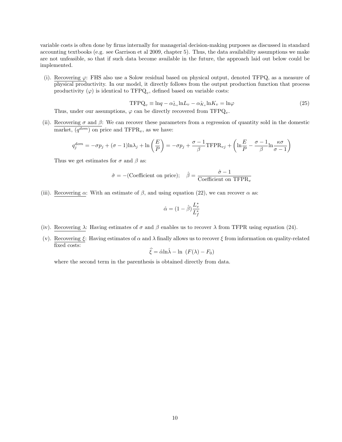variable costs is often done by firms internally for managerial decision-making purposes as discussed in standard accounting textbooks (e.g. see Garrison et al 2009, chapter 5). Thus, the data availability assumptions we make are not unfeasible, so that if such data become available in the future, the approach laid out below could be implemented.

(i). Recovering *φ*: FHS also use a Solow residual based on physical output, denoted TFPQ, as a measure of physical productivity. In our model, it directly follows from the output production function that process productivity  $(\varphi)$  is identical to  $TFPQ_v$ , defined based on variable costs:

$$
\text{TFPQ}_v \equiv \ln q - \alpha \hat{L}_v \ln L_v - \alpha \hat{K}_v \ln K_v = \ln \varphi \tag{25}
$$

Thus, under our assumptions,  $\varphi$  can be directly recovered from TFPQ<sub>*v*</sub>.

(ii). Recovering  $\sigma$  and  $\beta$ : We can recover these parameters from a regression of quantity sold in the domestic market,  $(q^{dom})$  on price and TFPR<sub>*v*</sub>, as we have:

$$
q_j^{dom} = -\sigma p_j + (\sigma - 1)\ln \lambda_j + \ln \left(\frac{E}{P}\right) = -\sigma p_j + \frac{\sigma - 1}{\beta} \text{TFPR}_{vj} + \left(\ln \frac{E}{P} - \frac{\sigma - 1}{\beta} \ln \frac{\kappa \sigma}{\sigma - 1}\right)
$$

Thus we get estimates for  $\sigma$  and  $\beta$  as:

$$
\hat{\sigma} = -(\text{Coefficient on price}); \quad \hat{\beta} = \frac{\hat{\sigma} - 1}{\text{Coefficient on TFPR}_v}
$$

(iii). Recovering  $\alpha$ : With an estimate of  $\beta$ , and using equation (22), we can recover  $\alpha$  as:

$$
\hat{\alpha} = (1 - \hat{\beta}) \frac{L_v^*}{L_f^*}
$$

- (iv). Recovering  $\lambda$ : Having estimates of  $\sigma$  and  $\beta$  enables us to recover  $\lambda$  from TFPR using equation (24).
- (v). Recovering *ξ*: Having estimates of *α* and *λ* finally allows us to recover *ξ* from information on quality-related fixed costs:

$$
\widehat{\xi} = \widehat{\alpha} \ln \widehat{\lambda} - \ln (F(\lambda) - F_0)
$$

where the second term in the parenthesis is obtained directly from data.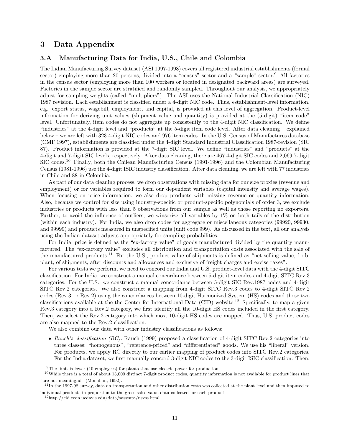## **3 Data Appendix**

#### **3.A Manufacturing Data for India, U.S., Chile and Colombia**

The Indian Manufacturing Survey dataset (ASI 1997-1998) covers all registered industrial establishments (formal sector) employing more than 20 persons, divided into a "census" sector and a "sample" sector.<sup>9</sup> All factories in the census sector (employing more than 100 workers or located in designated backward areas) are surveyed. Factories in the sample sector are stratified and randomly sampled. Throughout our analysis, we appropriately adjust for sampling weights (called "multipliers"). The ASI uses the National Industrial Classification (NIC) 1987 revision. Each establishment is classified under a 4-digit NIC code. Thus, establishment-level information, e.g. export status, wagebill, employment, and capital, is provided at this level of aggregation. Product-level information for deriving unit values (shipment value and quantity) is provided at the (5-digit) "item code" level. Unfortunately, item codes do not aggregate up consistently to the 4-digit NIC classification. We define "industries" at the 4-digit level and "products" at the 5-digit item code level. After data cleaning – explained below – we are left with 323 4-digit NIC codes and 976 item codes. In the U.S. Census of Manufactures database (CMF 1997), establishments are classified under the 4-digit Standard Industrial Classification 1987-revision (SIC 87). Product information is provided at the 7-digit SIC level. We define "industries" and "products" at the 4-digit and 7-digit SIC levels, respectively. After data cleaning, there are 467 4-digit SIC codes and 2,069 7-digit SIC codes.<sup>10</sup> Finally, both the Chilean Manufacturing Census (1991-1996) and the Colombian Manufacturing Census (1981-1996) use the 4-digit ISIC industry classification. After data cleaning, we are left with 77 industries in Chile and 88 in Colombia.

As part of our data cleaning process, we drop observations with missing data for our size proxies (revenue and employment) or for variables required to form our dependent variables (capital intensity and average wages). When focusing on price information, we also drop products with missing revenue or quantity information. Also, because we control for size using industry-specific or product-specific polynomials of order 3, we exclude industries or products with less than 5 observations from our sample as well as those reporting no exporters. Further, to avoid the influence of outliers, we winsorize all variables by 1% on both tails of the distribution (within each industry). For India, we also drop codes for aggregate or miscellaneous categories (99920, 99930, and 99999) and products measured in unspecified units (unit code 999). As discussed in the text, all our analysis using the Indian dataset adjusts appropriately for sampling probabilities.

For India, price is defined as the "ex-factory value" of goods manufactured divided by the quantity manufactured. The "ex-factory value" excludes all distribution and transportation costs associated with the sale of the manufactured products.<sup>11</sup> For the U.S., product value of shipments is defined as "net selling value, f.o.b. plant, of shipments, after discounts and allowances and exclusive of freight charges and excise taxes".

For various tests we perform, we need to concord our India and U.S. product-level data with the 4-digit SITC classification. For India, we construct a manual concordance between 5-digit item codes and 4-digit SITC Rev.3 categories. For the U.S., we construct a manual concordance between 5-digit SIC Rev.1987 codes and 4-digit SITC Rev.2 categories. We also construct a mapping from 4-digit SITC Rev.3 codes to 4-digit SITC Rev.2 codes (Rev.3 *→* Rev.2) using the concordances between 10-digit Harmonized System (HS) codes and those two classifications available at the the Center for International Data (CID) website.<sup>12</sup> Specifically, to map a given Rev.3 category into a Rev.2 category, we first identify all the 10-digit HS codes included in the first category. Then, we select the Rev.2 category into which most 10-digit HS codes are mapped. Thus, U.S. product codes are also mapped to the Rev.2 classification.

We also combine our data with other industry classifications as follows:

• *Rauch's classification (RC)*: Rauch (1999) proposed a classification of 4-digit SITC Rev.2 categories into three classes: "homogenous", "reference-priced" and "differentiated" goods. We use his "liberal" version. For products, we apply RC directly to our earlier mapping of product codes into SITC Rev.2 categories. For the India dataset, we first manually concord 3-digit NIC codes to the 3-digit ISIC classification. Then,

 $9$ The limit is lower (10 employees) for plants that use electric power for production.

 $10$ While there is a total of about 13,000 distinct 7-digit product codes, quantity information is not available for product lines that "are not meaningful" (Monahan, 1992).

 $11$ In the 1997-98 survey, data on transportation and other distribution costs was collected at the plant level and then imputed to individual products in proportion to the gross sales value data collected for each product.

<sup>12</sup>http://cid.econ.ucdavis.edu/data/sasstata/usxss.html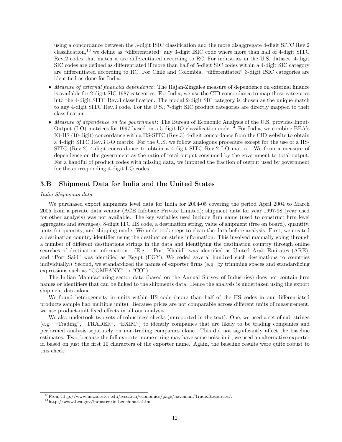using a concordance between the 3-digit ISIC classification and the more disaggregate 4-digit SITC Rev.2 classification,<sup>13</sup> we define as "differentiated" any 3-digit ISIC code where more than half of 4-digit SITC Rev.2 codes that match it are differentiated according to RC. For industries in the U.S. dataset, 4-digit SIC codes are defined as differentiated if more than half of 5-digit SIC codes within a 4-digit SIC category are differentiated according to RC. For Chile and Colombia, "differentiated" 3-digit ISIC categories are identified as done for India.

- *• Measure of external financial dependence*: The Rajan-Zingales measure of dependence on external finance is available for 2-digit SIC 1987 categories. For India, we use the CID concordance to map those categories into the 4-digit SITC Rev.3 classification. The modal 2-digit SIC category is chosen as the unique match to any 4-digit SITC Rev.3 code. For the U.S., 7-digit SIC product categories are directly mapped to their classification.
- *• Measure of dependence on the government*: The Bureau of Economic Analysis of the U.S. provides Input-Output (I-O) matrices for 1997 based on a 5-digit IO classification code.<sup>14</sup> For India, we combine BEA's IO-HS (10-digit) concordance with a HS-SITC (Rev.3) 4-digit concordance from the CID website to obtain a 4-digit SITC Rev.3 I-O matrix. For the U.S. we follow analogous procedure except for the use of a HS-SITC (Rev.2) 4-digit concordance to obtain a 4-digit SITC Rev.2 I-O matrix. We form a measure of dependence on the government as the ratio of total output consumed by the government to total output. For a handful of product codes with missing data, we imputed the fraction of output used by government for the corresponding 4-digit I-O codes.

#### **3.B Shipment Data for India and the United States**

#### *India Shipments data*

We purchased export shipments level data for India for 2004-05 covering the period April 2004 to March 2005 from a private data vendor (ACE Infobanc Private Limited); shipment data for year 1997-98 (year used for other analysis) was not available. The key variables used include firm name (used to construct firm level aggregates and averages), 8-digit ITC HS code, a destination string, value of shipment (free on board), quantity, units for quantity, and shipping mode. We undertook steps to clean the data before analysis. First, we created a destination country identifier using the destination string information. This involved manually going through a number of different destinations strings in the data and identifying the destination country through online searches of destination information. (E.g. "Port Khalid" was identified as United Arab Emirates (ARE), and "Port Said" was identified as Egypt (EGY). We coded several hundred such destinations to countries individually.) Second, we standardized the names of exporter firms (e.g. by trimming spaces and standardizing expressions such as "COMPANY" to "CO").

The Indian Manufacturing sector data (based on the Annual Survey of Industries) does not contain firm names or identifiers that can be linked to the shipments data. Hence the analysis is undertaken using the export shipment data alone.

We found heterogeneity in units within HS code (more than half of the HS codes in our differentiated products sample had multiple units). Because prices are not comparable across different units of measurement, we use product-unit fixed effects in all our analysis.

We also undertook two sets of robustness checks (unreported in the text). One, we used a set of sub-strings (e.g. "Trading", "TRADER", "EXIM") to identify companies that are likely to be trading companies and performed analysis separately on non-trading companies alone. This did not significantly affect the baseline estimates. Two, because the full exporter name string may have some noise in it, we used an alternative exporter id based on just the first 10 characters of the exporter name. Again, the baseline results were quite robust to this check.

<sup>13</sup>From http://www.macalester.edu/research/economics/page/haveman/Trade.Resources/.

 $14$ http://www.bea.gov/industry/io\_benchmark.htm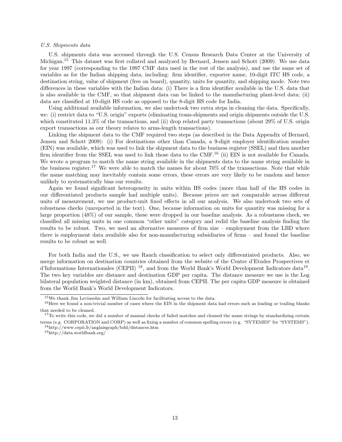#### *U.S. Shipments data*

U.S. shipments data was accessed through the U.S. Census Research Data Center at the University of Michigan.<sup>15</sup> This dataset was first collated and analyzed by Bernard, Jensen and Schott (2009). We use data for year 1997 (corresponding to the 1997 CMF data used in the rest of the analysis), and use the same set of variables as for the Indian shipping data, including: firm identifier, exporter name, 10-digit ITC HS code, a destination string, value of shipment (free on board), quantity, units for quantity, and shipping mode. Note two differences in these variables with the Indian data: (i) There is a firm identifier available in the U.S. data that is also available in the CMF, so that shipment data can be linked to the manufacturing plant-level data; (ii) data are classified at 10-digit HS code as opposed to the 8-digit HS code for India.

Using additional available information, we also undertook two extra steps in cleaning the data. Specifically, we: (i) restrict data to "U.S. origin" exports (eliminating trans-shipments and origin shipments outside the U.S. which constituted 11.3% of the transactions, and (ii) drop related party transactions (about 29% of U.S. origin export transactions as our theory relates to arms-length transactions).

Linking the shipment data to the CMF required two steps (as described in the Data Appendix of Bernard, Jensen and Schott 2009): (i) For destinations other than Canada, a 9-digit employer identification number (EIN) was available, which was used to link the shipment data to the business register (SSEL) and then another firm identifier from the SSEL was used to link those data to the CMF.<sup>16</sup> (ii) EIN is not available for Canada. We wrote a program to match the name string available in the shipments data to the name string available in the business register.<sup>17</sup> We were able to match the names for about  $70\%$  of the transactions. Note that while the name matching may inevitably contain some errors, these errors are very likely to be random and hence unlikely to systematically bias our results.

Again we found significant heterogeneity in units within HS codes (more than half of the HS codes in our differentiated products sample had multiple units). Because prices are not comparable across different units of measurement, we use product-unit fixed effects in all our analysis. We also undertook two sets of robustness checks (unreported in the text). One, because information on units for quantity was missing for a large proportion (48%) of our sample, these were dropped in our baseline analysis. As a robustness check, we classified all missing units in one common "other units" category and redid the baseline analysis finding the results to be robust. Two, we used an alternative measures of firm size – employment from the LBD where there is employment data available also for non-manufacturing subsidiaries of firms – and found the baseline results to be robust as well.

For both India and the U.S., we use Rauch classification to select only differentiated products. Also, we merge information on destination countries obtained from the website of the Centre d'Etudes Prospectives et d'Informations Internationales (CEPII)<sup>18</sup>, and from the World Bank's World Development Indicators data<sup>19</sup>. The two key variables are distance and destination GDP per capita. The distance measure we use is the Log bilateral population weighted distance (in km), obtained from CEPII. The per capita GDP measure is obtained from the World Bank's World Development Indicators.

<sup>18</sup>http://www.cepii.fr/anglaisgraph/bdd/distances.htm

<sup>19</sup>http://data.worldbank.org/

<sup>15</sup>We thank Jim Levinsohn and William Lincoln for facilitating access to the data.

 $16$  Here we found a non-trivial number of cases where the EIN in the shipment data had errors such as leading or trailing blanks that needed to be cleaned.

<sup>&</sup>lt;sup>17</sup>To write this code, we did a number of manual checks of failed matches and cleaned the name strings by standardizing certain terms (e.g. CORPORATION and CORP) as well as fixing a number of common spelling errors (e.g. "SYTEMES" for "SYSTEMS").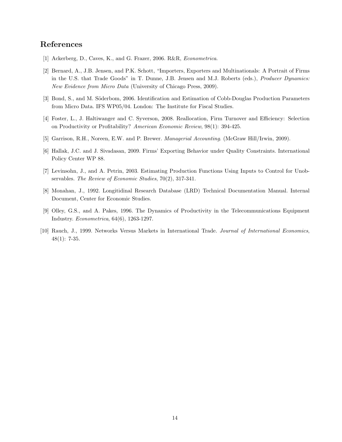# **References**

- [1] Ackerberg, D., Caves, K., and G. Frazer, 2006. R&R, *Econometrica*.
- [2] Bernard, A., J.B. Jensen, and P.K. Schott, "Importers, Exporters and Multinationals: A Portrait of Firms in the U.S. that Trade Goods" in T. Dunne, J.B. Jensen and M.J. Roberts (eds.), *Producer Dynamics: New Evidence from Micro Data* (University of Chicago Press, 2009).
- [3] Bond, S., and M. Söderbom, 2006. Identification and Estimation of Cobb-Douglas Production Parameters from Micro Data. IFS WP05/04. London: The Institute for Fiscal Studies.
- [4] Foster, L., J. Haltiwanger and C. Syverson, 2008. Reallocation, Firm Turnover and Efficiency: Selection on Productivity or Profitability? *American Economic Review*, 98(1): 394-425.
- [5] Garrison, R.H., Noreen, E.W. and P. Brewer. *Managerial Accounting*. (McGraw Hill/Irwin, 2009).
- [6] Hallak, J.C. and J. Sivadasan, 2009. Firms' Exporting Behavior under Quality Constraints. International Policy Center WP 88.
- [7] Levinsohn, J., and A. Petrin, 2003. Estimating Production Functions Using Inputs to Control for Unobservables. *The Review of Economic Studies*, 70(2), 317-341.
- [8] Monahan, J., 1992. Longitidinal Research Database (LRD) Technical Documentation Manual. Internal Document, Center for Economic Studies.
- [9] Olley, G.S., and A. Pakes, 1996. The Dynamics of Productivity in the Telecommunications Equipment Industry. *Econometrica*, 64(6), 1263-1297.
- [10] Rauch, J., 1999. Networks Versus Markets in International Trade. *Journal of International Economics*, 48(1): 7-35.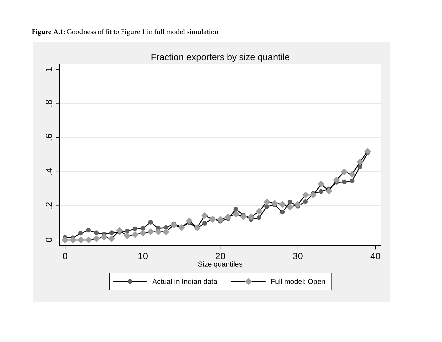

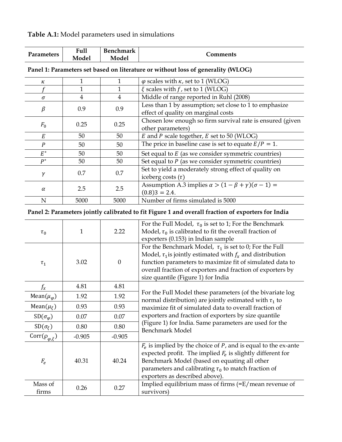| Table A.1: Model parameters used in simulations |  |  |
|-------------------------------------------------|--|--|
|                                                 |  |  |

|                   | Full  | <b>Benchmark</b> |          |
|-------------------|-------|------------------|----------|
| <b>Parameters</b> | Model | Model            | _omments |

| к        |      |      | $\varphi$ scales with $\kappa$ , set to 1 (WLOG)                       |
|----------|------|------|------------------------------------------------------------------------|
|          |      |      | $\xi$ scales with $f$ , set to 1 (WLOG)                                |
| $\sigma$ | 4    | 4    | Middle of range reported in Ruhl (2008)                                |
| $\beta$  | 0.9  | 0.9  | Less than 1 by assumption; set close to 1 to emphasize                 |
|          |      |      | effect of quality on marginal costs                                    |
|          | 0.25 |      | Chosen low enough so firm survival rate is ensured (given              |
| $F_0$    |      | 0.25 | other parameters)                                                      |
| E        | 50   | 50   | $E$ and $P$ scale together, $E$ set to 50 (WLOG)                       |
| P        | 50   | 50   | The price in baseline case is set to equate $E/P = 1$ .                |
| $E^*$    | 50   | 50   | Set equal to $E$ (as we consider symmetric countries)                  |
| $P^*$    | 50   | 50   | Set equal to $P$ (as we consider symmetric countries)                  |
|          | 0.7  |      | Set to yield a moderately strong effect of quality on                  |
| γ        |      | 0.7  | iceberg costs $(\tau)$                                                 |
|          | 2.5  |      | Assumption A.3 implies $\alpha$ > $(1 - \beta + \gamma)(\sigma - 1)$ = |
| $\alpha$ |      | 2.5  | $(0.8)3 = 2.4.$                                                        |
| N        | 5000 | 5000 | Number of firms simulated is 5000                                      |

| Panel 1: Parameters set based on literature or without loss of generality (WLOG) |
|----------------------------------------------------------------------------------|
|----------------------------------------------------------------------------------|

# **Panel 2: Parameters jointly calibrated to fit Figure 1 and overall fraction of exporters for India**

| $\tau_0$                    | 1        | 2.22             | For the Full Model, $\tau_0$ is set to 1; For the Benchmark<br>Model, $\tau_0$ is calibrated to fit the overall fraction of<br>exporters (0.153) in Indian sample                                                                                                                               |
|-----------------------------|----------|------------------|-------------------------------------------------------------------------------------------------------------------------------------------------------------------------------------------------------------------------------------------------------------------------------------------------|
| $\tau_1$                    | 3.02     | $\boldsymbol{0}$ | For the Benchmark Model, $\tau_1$ is set to 0; For the Full<br>Model, $\tau_1$ is jointly estimated with $f_x$ and distribution<br>function parameters to maximize fit of simulated data to<br>overall fraction of exporters and fraction of exporters by<br>size quantile (Figure 1) for India |
| $f_x$                       | 4.81     | 4.81             |                                                                                                                                                                                                                                                                                                 |
| Mean( $\mu_{\varphi}$ )     | 1.92     | 1.92             | For the Full Model these parameters (of the bivariate log<br>normal distribution) are jointly estimated with $\tau_1$ to                                                                                                                                                                        |
| Mean( $\mu_{\xi}$ )         | 0.93     | 0.93             | maximize fit of simulated data to overall fraction of                                                                                                                                                                                                                                           |
| $SD(\sigma_{\varphi})$      | 0.07     | 0.07             | exporters and fraction of exporters by size quantile                                                                                                                                                                                                                                            |
| $SD(\sigma_{\xi})$          | 0.80     | 0.80             | (Figure 1) for India. Same parameters are used for the<br><b>Benchmark Model</b>                                                                                                                                                                                                                |
| Corr $(\rho_{\varphi,\xi})$ | $-0.905$ | $-0.905$         |                                                                                                                                                                                                                                                                                                 |
| $F_e$                       | 40.31    | 40.24            | $F_e$ is implied by the choice of P, and is equal to the ex-ante<br>expected profit. The implied $F_e$ is slightly different for<br>Benchmark Model (based on equating all other<br>parameters and calibrating $\tau_0$ to match fraction of<br>exporters as described above).                  |
| Mass of<br>firms            | 0.26     | 0.27             | Implied equilibrium mass of firms (=E/mean revenue of<br>survivors)                                                                                                                                                                                                                             |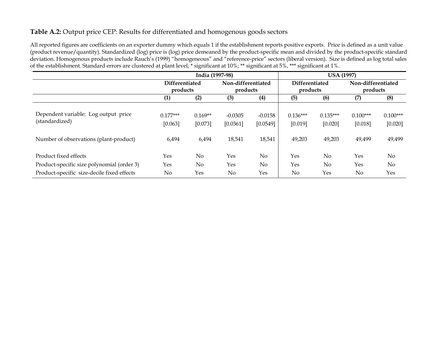# **Table A.2:** Output price CEP: Results for differentiated and homogenous goods sectors

All reported figures are coefficients on an exporter dummy which equals 1 if the establishment reports positive exports. Price is defined as a unit value (product revenue/quantity). Standardized (log) price is (log) price demeaned by the product-specific mean and divided by the product-specific standard deviation. Homogenous products include Rauch's (1999) "homogeneous" and "reference-price" sectors (liberal version). Size is defined as log total sales of the establishment. Standard errors are clustered at plant level; \* significant at 10%; \*\* significant at 5%, \*\*\* significant at 1%.

|                                                                                                                   | India (1997-98)                   |                               |                                 |                                 | <b>USA (1997)</b>               |                                 |                                 |                                 |  |
|-------------------------------------------------------------------------------------------------------------------|-----------------------------------|-------------------------------|---------------------------------|---------------------------------|---------------------------------|---------------------------------|---------------------------------|---------------------------------|--|
|                                                                                                                   | <b>Differentiated</b><br>products |                               | Non-differentiated              |                                 | <b>Differentiated</b>           |                                 | Non-differentiated              |                                 |  |
|                                                                                                                   |                                   |                               | products                        |                                 | products                        |                                 | products                        |                                 |  |
|                                                                                                                   | (1)                               | (2)                           | (3)                             | (4)                             | (5)                             | (6)                             | (7)                             | (8)                             |  |
| Dependent variable: Log output price<br>(standardized)<br>Number of observations (plant-product)                  | $0.177***$<br>[0.063]<br>6,494    | $0.169**$<br>[0.073]<br>6,494 | $-0.0305$<br>[0.0361]<br>18,541 | $-0.0158$<br>[0.0549]<br>18,541 | $0.136***$<br>[0.019]<br>49,203 | $0.135***$<br>[0.020]<br>49,203 | $0.100***$<br>[0.018]<br>49,499 | $0.100***$<br>[0.020]<br>49,499 |  |
| Product fixed effects<br>Product-specific size polynomial (order 3)<br>Product-specific size-decile fixed effects | Yes<br>Yes<br>No                  | No<br>$\overline{N}$<br>Yes   | Yes<br>Yes<br>$\rm No$          | No<br>No.<br>Yes                | Yes<br>Yes<br>No                | No<br>No<br>Yes                 | Yes<br>Yes<br>N <sub>0</sub>    | $\rm No$<br>$\rm No$<br>Yes     |  |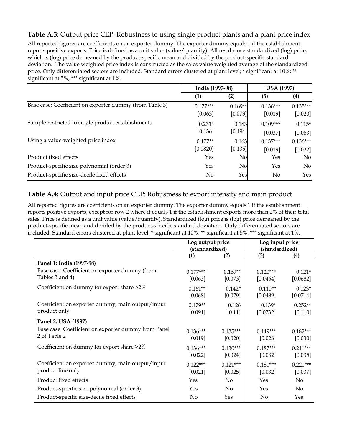# **Table A.3:** Output price CEP: Robustness to using single product plants and a plant price index

All reported figures are coefficients on an exporter dummy. The exporter dummy equals 1 if the establishment reports positive exports. Price is defined as a unit value (value/quantity). All results use standardized (log) price, which is (log) price demeaned by the product-specific mean and divided by the product-specific standard deviation. The value weighted price index is constructed as the sales value weighted average of the standardized price. Only differentiated sectors are included. Standard errors clustered at plant level; \* significant at 10%; \*\* significant at 5%, \*\*\* significant at 1%.

|                                                         | India (1997-98)       |                      | <b>USA (1997)</b>     |                       |  |
|---------------------------------------------------------|-----------------------|----------------------|-----------------------|-----------------------|--|
|                                                         | (1)                   | (2)                  | (3)                   | (4)                   |  |
| Base case: Coefficient on exporter dummy (from Table 3) | $0.177***$<br>[0.063] | $0.169**$<br>[0.073] | $0.136***$<br>[0.019] | $0.135***$<br>[0.020] |  |
| Sample restricted to single product establishments      | $0.231*$<br>[0.136]   | 0.183<br>[0.194]     | $0.109***$<br>[0.037] | $0.115*$<br>[0.063]   |  |
| Using a value-weighted price index                      | $0.177**$<br>[0.0820] | 0.163<br>[0.135]     | $0.137***$<br>[0.019] | $0.136***$<br>[0.022] |  |
| Product fixed effects                                   | Yes                   | No                   | Yes                   | No.                   |  |
| Product-specific size polynomial (order 3)              | Yes                   | No                   | Yes                   | $\overline{N}$        |  |
| Product-specific size-decile fixed effects              | No                    | Yes                  | No.                   | <b>Yes</b>            |  |

# **Table A.4:** Output and input price CEP: Robustness to export intensity and main product

All reported figures are coefficients on an exporter dummy. The exporter dummy equals 1 if the establishment reports positive exports, except for row 2 where it equals 1 if the establishment exports more than 2% of their total sales. Price is defined as a unit value (value/quantity). Standardized (log) price is (log) price demeaned by the product-specific mean and divided by the product-specific standard deviation. Only differentiated sectors are included. Standard errors clustered at plant level; \* significant at 10%; \*\* significant at 5%, \*\*\* significant at 1%.

|                                                                       | Log output price<br>(standardized) |                       | Log input price<br>(standardized) |                       |  |
|-----------------------------------------------------------------------|------------------------------------|-----------------------|-----------------------------------|-----------------------|--|
|                                                                       | (1)<br>(2)                         |                       | (3)                               | $\left(4\right)$      |  |
| Panel 1: India (1997-98)                                              |                                    |                       |                                   |                       |  |
| Base case: Coefficient on exporter dummy (from<br>Tables 3 and 4)     | $0.177***$<br>[0.063]              | $0.169**$<br>[0.073]  | $0.120***$<br>[0.0464]            | $0.121*$<br>[0.0682]  |  |
| Coefficient on dummy for export share >2%                             | $0.161**$<br>[0.068]               | $0.142*$<br>[0.079]   | $0.110**$<br>[0.0489]             | $0.123*$<br>[0.0714]  |  |
| Coefficient on exporter dummy, main output/input<br>product only      | $0.179**$<br>[0.091]               | 0.126<br>[0.11]       | $0.139*$<br>[0.0732]              | $0.252**$<br>[0.110]  |  |
| Panel 2: USA (1997)                                                   |                                    |                       |                                   |                       |  |
| Base case: Coefficient on exporter dummy from Panel<br>2 of Table 2   | $0.136***$<br>[0.019]              | $0.135***$<br>[0.020] | $0.149***$<br>[0.028]             | $0.182***$<br>[0.030] |  |
| Coefficient on dummy for export share >2%                             | $0.136***$<br>[0.022]              | $0.130***$<br>[0.024] | $0.187***$<br>[0.032]             | $0.211***$<br>[0.035] |  |
| Coefficient on exporter dummy, main output/input<br>product line only | $0.122***$<br>[0.021]              | $0.121***$<br>[0.025] | $0.181***$<br>[0.032]             | $0.221***$<br>[0.037] |  |
| Product fixed effects                                                 | Yes                                | No                    | Yes                               | No                    |  |
| Product-specific size polynomial (order 3)                            | Yes                                | No                    | Yes                               | No                    |  |
| Product-specific size-decile fixed effects                            | No                                 | Yes                   | No                                | Yes                   |  |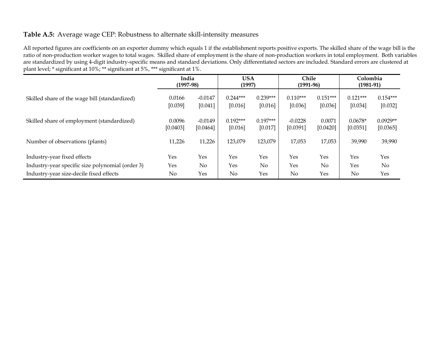# **Table A.5:** Average wage CEP: Robustness to alternate skill-intensity measures

All reported figures are coefficients on an exporter dummy which equals 1 if the establishment reports positive exports. The skilled share of the wage bill is the ratio of non-production worker wages to total wages. Skilled share of employment is the share of non-production workers in total employment. Both variables are standardized by using 4-digit industry-specific means and standard deviations. Only differentiated sectors are included. Standard errors are clustered at plant level; \* significant at 10%; \*\* significant at 5%, \*\*\* significant at 1%.

|                                                  | India<br>$(1997-98)$ |                       | <b>USA</b><br>(1997)  |                       | Chile<br>$(1991-96)$  |                       | Colombia<br>$(1981-91)$ |                        |
|--------------------------------------------------|----------------------|-----------------------|-----------------------|-----------------------|-----------------------|-----------------------|-------------------------|------------------------|
| Skilled share of the wage bill (standardized)    | 0.0166<br>[0.039]    | $-0.0147$<br>[0.041]  | $0.244***$<br>[0.016] | $0.239***$<br>[0.016] | $0.110***$<br>[0.036] | $0.151***$<br>[0.036] | $0.121***$<br>[0.034]   | $0.154***$<br>[0.032]  |
| Skilled share of employment (standardized)       | 0.0096<br>[0.0403]   | $-0.0149$<br>[0.0464] | $0.192***$<br>[0.016] | $0.197***$<br>[0.017] | $-0.0228$<br>[0.0391] | 0.0071<br>[0.0420]    | $0.0678*$<br>[0.0351]   | $0.0929**$<br>[0.0365] |
| Number of observations (plants)                  | 11,226               | 11,226                | 123,079               | 123,079               | 17,053                | 17,053                | 39,990                  | 39,990                 |
| Industry-year fixed effects                      | Yes                  | Yes                   | Yes                   | Yes                   | Yes                   | Yes                   | Yes                     | Yes                    |
| Industry-year specific size polynomial (order 3) | Yes                  | $\rm No$              | Yes                   | $\rm No$              | Yes                   | $\rm No$              | Yes                     | $\rm No$               |
| Industry-year size-decile fixed effects          | No                   | Yes                   | No                    | Yes                   | No                    | Yes                   | No                      | Yes                    |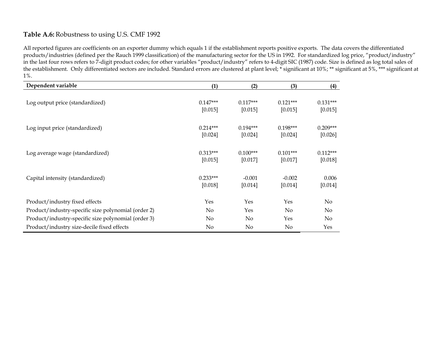# **Table A.6:** Robustness to using U.S. CMF 1992

All reported figures are coefficients on an exporter dummy which equals 1 if the establishment reports positive exports. The data covers the differentiated products/industries (defined per the Rauch 1999 classification) of the manufacturing sector for the US in 1992. For standardized log price, "product/industry" in the last four rows refers to 7-digit product codes; for other variables "product/industry" refers to 4-digit SIC (1987) code. Size is defined as log total sales of the establishment. Only differentiated sectors are included. Standard errors are clustered at plant level; \* significant at 10%; \*\* significant at 5%, \*\*\* significant at 1%.

| Dependent variable                                  | (1)                   | (2)                   | (3)                   | (4)                   |
|-----------------------------------------------------|-----------------------|-----------------------|-----------------------|-----------------------|
| Log output price (standardized)                     | $0.147***$<br>[0.015] | $0.117***$<br>[0.015] | $0.121***$<br>[0.015] | $0.131***$<br>[0.015] |
| Log input price (standardized)                      | $0.214***$<br>[0.024] | $0.194***$<br>[0.024] | $0.198***$<br>[0.024] | $0.209***$<br>[0.026] |
| Log average wage (standardized)                     | $0.313***$<br>[0.015] | $0.100***$<br>[0.017] | $0.101***$<br>[0.017] | $0.112***$<br>[0.018] |
| Capital intensity (standardized)                    | $0.233***$<br>[0.018] | $-0.001$<br>[0.014]   | $-0.002$<br>[0.014]   | 0.006<br>[0.014]      |
| Product/industry fixed effects                      | Yes                   | Yes                   | Yes                   | No                    |
| Product/industry-specific size polynomial (order 2) | $\rm No$              | Yes                   | No                    | No                    |
| Product/industry-specific size polynomial (order 3) | $\rm No$              | No                    | Yes                   | No                    |
| Product/industry size-decile fixed effects          | $\rm No$              | No                    | No                    | Yes                   |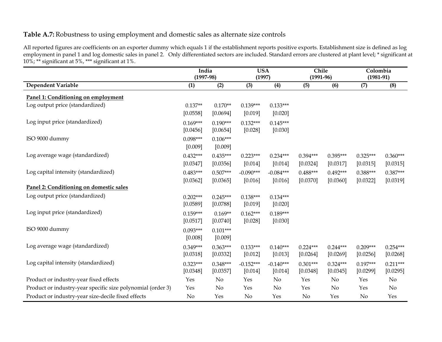# **Table A.7:** Robustness to using employment and domestic sales as alternate size controls

All reported figures are coefficients on an exporter dummy which equals 1 if the establishment reports positive exports. Establishment size is defined as log employment in panel 1 and log domestic sales in panel 2. Only differentiated sectors are included. Standard errors are clustered at plant level; \* significant at 10%; \*\* significant at 5%, \*\*\* significant at 1%.

|                                                             | India<br><b>USA</b><br>$(1997-98)$<br>(1997) |                        | Chile<br>$(1991-96)$   |                        | Colombia<br>$(1981 - 91)$ |                        |                        |                        |
|-------------------------------------------------------------|----------------------------------------------|------------------------|------------------------|------------------------|---------------------------|------------------------|------------------------|------------------------|
| <b>Dependent Variable</b>                                   | (1)                                          | (2)                    | (3)                    | (4)                    | (5)                       | (6)                    | (7)                    | (8)                    |
| Panel 1: Conditioning on employment                         |                                              |                        |                        |                        |                           |                        |                        |                        |
| Log output price (standardized)                             | $0.137**$<br>[0.0558]                        | $0.170**$<br>[0.0694]  | $0.139***$<br>[0.019]  | $0.133***$<br>[0.020]  |                           |                        |                        |                        |
| Log input price (standardized)                              | $0.169***$<br>[0.0456]                       | $0.190***$<br>[0.0654] | $0.132***$<br>[0.028]  | $0.145***$<br>[0.030]  |                           |                        |                        |                        |
| ISO 9000 dummy                                              | $0.098***$<br>[0.009]                        | $0.106***$<br>[0.009]  |                        |                        |                           |                        |                        |                        |
| Log average wage (standardized)                             | $0.432***$<br>[0.0347]                       | $0.435***$<br>[0.0356] | $0.223***$<br>[0.014]  | $0.234***$<br>[0.014]  | $0.394***$<br>[0.0324]    | $0.395***$<br>[0.0317] | $0.325***$<br>[0.0315] | $0.360***$<br>[0.0315] |
| Log capital intensity (standardized)                        | $0.483***$<br>[0.0362]                       | $0.507***$<br>[0.0365] | $-0.090***$<br>[0.016] | $-0.084***$<br>[0.016] | $0.488***$<br>[0.0370]    | $0.492***$<br>[0.0360] | $0.388***$<br>[0.0322] | $0.387***$<br>[0.0319] |
| Panel 2: Conditioning on domestic sales                     |                                              |                        |                        |                        |                           |                        |                        |                        |
| Log output price (standardized)                             | $0.202***$<br>[0.0589]                       | $0.245***$<br>[0.0788] | $0.138***$<br>[0.019]  | $0.134***$<br>[0.020]  |                           |                        |                        |                        |
| Log input price (standardized)                              | $0.159***$<br>[0.0517]                       | $0.169**$<br>[0.0740]  | $0.162***$<br>[0.028]  | $0.189***$<br>[0.030]  |                           |                        |                        |                        |
| ISO 9000 dummy                                              | $0.093***$<br>[0.008]                        | $0.101***$<br>[0.009]  |                        |                        |                           |                        |                        |                        |
| Log average wage (standardized)                             | $0.349***$<br>[0.0318]                       | $0.363***$<br>[0.0332] | $0.133***$<br>[0.012]  | $0.140***$<br>[0.013]  | $0.224***$<br>[0.0264]    | $0.244***$<br>[0.0269] | $0.209***$<br>[0.0256] | $0.254***$<br>[0.0268] |
| Log capital intensity (standardized)                        | $0.323***$<br>[0.0348]                       | $0.348***$<br>[0.0357] | $-0.152***$<br>[0.014] | $-0.140***$<br>[0.014] | $0.301***$<br>[0.0348]    | $0.324***$<br>[0.0345] | $0.197***$<br>[0.0299] | $0.211***$<br>[0.0295] |
| Product or industry-year fixed effects                      | Yes                                          | No                     | Yes                    | No                     | Yes                       | No                     | Yes                    | No                     |
| Product or industry-year specific size polynomial (order 3) | Yes                                          | No                     | Yes                    | No                     | Yes                       | No                     | Yes                    | No                     |
| Product or industry-year size-decile fixed effects          | No                                           | Yes                    | No                     | Yes                    | No                        | Yes                    | No                     | Yes                    |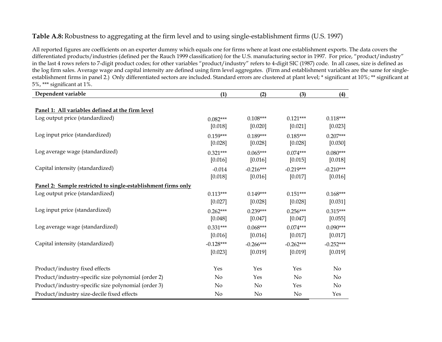# **Table A.8:** Robustness to aggregating at the firm level and to using single-establishment firms (U.S. 1997)

All reported figures are coefficients on an exporter dummy which equals one for firms where at least one establishment exports. The data covers the differentiated products/industries (defined per the Rauch 1999 classification) for the U.S. manufacturing sector in 1997. For price, "product/industry" in the last 4 rows refers to 7-digit product codes; for other variables "product/industry" refers to 4-digit SIC (1987) code. In all cases, size is defined as the log firm sales. Average wage and capital intensity are defined using firm level aggregates. (Firm and establishment variables are the same for singleestablishment firms in panel 2.) Only differentiated sectors are included. Standard errors are clustered at plant level; \* significant at 10%; \*\* significant at 5%, \*\*\* significant at 1%.

| Dependent variable                                            | (1)         | (2)         | (3)            | (4)         |
|---------------------------------------------------------------|-------------|-------------|----------------|-------------|
|                                                               |             |             |                |             |
| Panel 1: All variables defined at the firm level              |             |             |                |             |
| Log output price (standardized)                               | $0.082***$  | $0.108***$  | $0.121***$     | $0.118***$  |
|                                                               | [0.018]     | [0.020]     | [0.021]        | $[0.023]$   |
| Log input price (standardized)                                | $0.159***$  | $0.189***$  | $0.185***$     | $0.207***$  |
|                                                               | [0.028]     | [0.028]     | [0.028]        | $[0.030]$   |
| Log average wage (standardized)                               | $0.321***$  | $0.065***$  | $0.074***$     | $0.080***$  |
|                                                               | [0.016]     | [0.016]     | [0.015]        | [0.018]     |
| Capital intensity (standardized)                              | $-0.014$    | $-0.216***$ | $-0.219***$    | $-0.210***$ |
|                                                               | [0.018]     | [0.016]     | [0.017]        | [0.016]     |
| Panel 2: Sample restricted to single-establishment firms only |             |             |                |             |
| Log output price (standardized)                               | $0.113***$  | $0.149***$  | $0.151***$     | $0.168***$  |
|                                                               | [0.027]     | [0.028]     | [0.028]        | [0.031]     |
| Log input price (standardized)                                | $0.262***$  | $0.239***$  | $0.256***$     | $0.315***$  |
|                                                               | [0.048]     | [0.047]     | [0.047]        | [0.055]     |
| Log average wage (standardized)                               | $0.331***$  | $0.068***$  | $0.074***$     | $0.090***$  |
|                                                               | [0.016]     | [0.016]     | [0.017]        | [0.017]     |
| Capital intensity (standardized)                              | $-0.128***$ | $-0.266***$ | $-0.262***$    | $-0.252***$ |
|                                                               | [0.023]     | [0.019]     | [0.019]        | [0.019]     |
| Product/industry fixed effects                                | Yes         | Yes         | Yes            | No          |
| Product/industry-specific size polynomial (order 2)           | No          | Yes         | N <sub>o</sub> | No          |
| Product/industry-specific size polynomial (order 3)           | No          | No          | Yes            | No          |
| Product/industry size-decile fixed effects                    | No          | No          | No             | Yes         |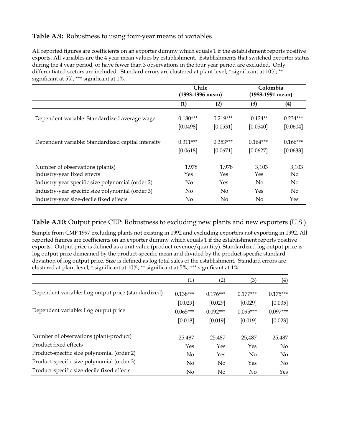# **Table A.9:** Robustness to using four-year means of variables

All reported figures are coefficients on an exporter dummy which equals 1 if the establishment reports positive exports. All variables are the 4 year mean values by establishment. Establishments that switched exporter status during the 4 year period, or have fewer than 3 observations in the four year period are excluded. Only differentiated sectors are included. Standard errors are clustered at plant level; \* significant at 10%; \*\* significant at 5%, \*\*\* significant at 1%.

|                                                                | Chile<br>(1993-1996 mean) |                | Colombia<br>(1988-1991 mean) |              |
|----------------------------------------------------------------|---------------------------|----------------|------------------------------|--------------|
|                                                                | (1)                       | (2)            | (3)                          | (4)          |
| Dependent variable: Standardized average wage                  | $0.180***$                | $0.219***$     | $0.124**$                    | $0.234***$   |
|                                                                | [0.0498]                  | [0.0531]       | [0.0540]                     | [0.0604]     |
| Dependent variable: Standardized capital intensity             | $0.311***$                | $0.353***$     | $0.164***$                   | $0.166***$   |
|                                                                | [0.0618]                  | [0.0671]       | [0.0627]                     | [0.0633]     |
| Number of observations (plants)<br>Industry-year fixed effects | 1.978<br>Yes              | 1.978<br>Yes   | 3,103<br>Yes                 | 3,103<br>No. |
| Industry-year specific size polynomial (order 2)               | No                        | Yes            | No.                          | No           |
| Industry-year specific size polynomial (order 3)               | No.                       | N <sub>o</sub> | Yes                          | No           |
| Industry-year size-decile fixed effects                        | No                        | No             | No                           | Yes          |

# **Table A.10:** Output price CEP: Robustness to excluding new plants and new exporters (U.S.)

Sample from CMF 1997 excluding plants not existing in 1992 and excluding exporters not exporting in 1992. All reported figures are coefficients on an exporter dummy which equals 1 if the establishment reports positive exports. Output price is defined as a unit value (product revenue/quantity). Standardized log output price is log output price demeaned by the product-specific mean and divided by the product-specific standard deviation of log output price. Size is defined as log total sales of the establishment. Standard errors are clustered at plant level; \* significant at 10%; \*\* significant at 5%, \*\*\* significant at 1%.

|                                                     | $\left( 1\right)$ | (2)            | (3)        | $\left( 4\right)$ |
|-----------------------------------------------------|-------------------|----------------|------------|-------------------|
| Dependent variable: Log output price (standardized) | $0.138***$        | $0.176***$     | $0.177***$ | $0.175***$        |
|                                                     | [0.029]           | [0.029]        | [0.029]    | [0.035]           |
| Dependent variable: Log output price                | $0.065***$        | $0.092***$     | $0.095***$ | $0.097***$        |
|                                                     | [0.018]           | [0.019]        | [0.019]    | [0.023]           |
| Number of observations (plant-product)              | 25.487            | 25.487         | 25.487     | 25,487            |
| Product fixed effects                               | Yes               | Yes            | Yes        | $\overline{N}$    |
| Product-specific size polynomial (order 2)          | N <sub>0</sub>    | Yes            | $\rm No$   | No                |
| Product-specific size polynomial (order 3)          | N <sub>0</sub>    | N <sub>o</sub> | Yes        | No                |
| Product-specific size-decile fixed effects          | No                | No.            | No         | Yes               |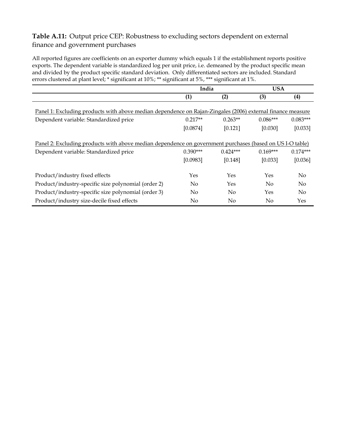# **Table A.11:** Output price CEP: Robustness to excluding sectors dependent on external finance and government purchases

All reported figures are coefficients on an exporter dummy which equals 1 if the establishment reports positive exports. The dependent variable is standardized log per unit price, i.e. demeaned by the product specific mean and divided by the product specific standard deviation. Only differentiated sectors are included. Standard errors clustered at plant level; \* significant at 10%; \*\* significant at 5%, \*\*\* significant at 1%.

|                                                                                                            | India      |                | <b>USA</b>     |                  |  |
|------------------------------------------------------------------------------------------------------------|------------|----------------|----------------|------------------|--|
|                                                                                                            | (1)        | (2)            | (3)            | $\left(4\right)$ |  |
| Panel 1: Excluding products with above median dependence on Rajan-Zingales (2006) external finance measure |            |                |                |                  |  |
| Dependent variable: Standardized price                                                                     | $0.217**$  | $0.263**$      | $0.086***$     | $0.083***$       |  |
|                                                                                                            | [0.0874]   | [0.121]        | [0.030]        | [0.033]          |  |
| Panel 2: Excluding products with above median dependence on government purchases (based on USI-O table)    |            |                |                |                  |  |
| Dependent variable: Standardized price                                                                     | $0.390***$ | $0.424***$     | $0.169***$     | $0.174***$       |  |
|                                                                                                            | [0.0983]   | [0.148]        | [0.033]        | [0.036]          |  |
| Product/industry fixed effects                                                                             | Yes        | Yes            | Yes            | $\rm No$         |  |
| Product/industry-specific size polynomial (order 2)                                                        | $\rm No$   | Yes            | N <sub>o</sub> | No.              |  |
| Product/industry-specific size polynomial (order 3)                                                        | No.        | $\overline{N}$ | Yes            | No               |  |
| Product/industry size-decile fixed effects                                                                 | No         | $\rm No$       | $\rm No$       | Yes              |  |